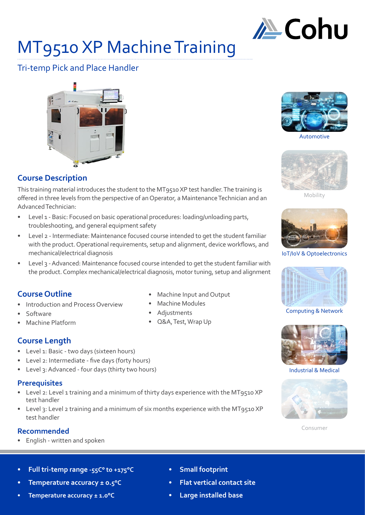

# MT9510 XP Machine Training

# Tri-temp Pick and Place Handler



# **Course Description**

This training material introduces the student to the MT9510 XP test handler. The training is offered in three levels from the perspective of an Operator, a Maintenance Technician and an Advanced Technician:

- Level 1 Basic: Focused on basic operational procedures: loading/unloading parts, troubleshooting, and general equipment safety
- Level 2 Intermediate: Maintenance focused course intended to get the student familiar with the product. Operational requirements, setup and alignment, device workflows, and mechanical/electrical diagnosis
- Level 3 Advanced: Maintenance focused course intended to get the student familiar with the product. Complex mechanical/electrical diagnosis, motor tuning, setup and alignment

# **Course Outline**

- Introduction and Process Overview
- Software
- Machine Platform
- **Course Length**
- Level 1: Basic two days (sixteen hours)
- Level 2: Intermediate five days (forty hours)
- Level 3: Advanced four days (thirty two hours)

# **Prerequisites**

- Level 2: Level 1 training and a minimum of thirty days experience with the MT9510 XP test handler
- Level 3: Level 2 training and a minimum of six months experience with the MT9510 XP test handler

# **Recommended**

- English written and spoken
- **• Full tri-temp range -55C° to +175°C**
- **• Temperature accuracy ± 0.5°C**
- **• Temperature accuracy ± 1.0°C**
- Machine Input and Output
- Machine Modules
- Adjustments
- Q&A, Test, Wrap Up



Automotive



Mobility



IoT/IoV & Optoelectronics



Computing & Network



Industrial & Medical



Consumer

- **• Small footprint**
- **• Flat vertical contact site**
- **• Large installed base**